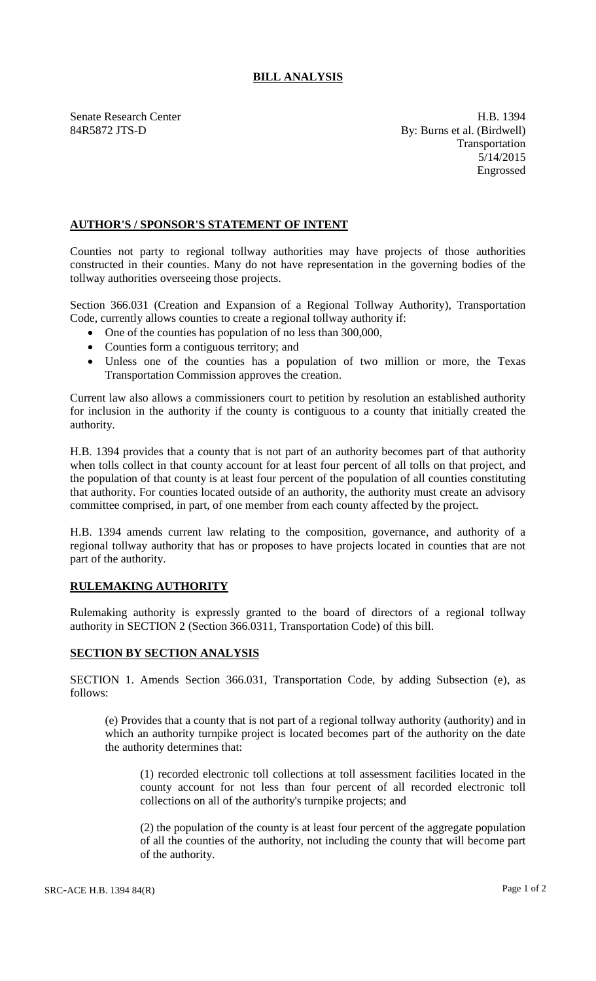## **BILL ANALYSIS**

Senate Research Center **H.B.** 1394 84R5872 JTS-D By: Burns et al. (Birdwell) Transportation 5/14/2015 Engrossed

## **AUTHOR'S / SPONSOR'S STATEMENT OF INTENT**

Counties not party to regional tollway authorities may have projects of those authorities constructed in their counties. Many do not have representation in the governing bodies of the tollway authorities overseeing those projects.

Section 366.031 (Creation and Expansion of a Regional Tollway Authority), Transportation Code, currently allows counties to create a regional tollway authority if:

- One of the counties has population of no less than 300,000,
- Counties form a contiguous territory; and
- Unless one of the counties has a population of two million or more, the Texas Transportation Commission approves the creation.

Current law also allows a commissioners court to petition by resolution an established authority for inclusion in the authority if the county is contiguous to a county that initially created the authority.

H.B. 1394 provides that a county that is not part of an authority becomes part of that authority when tolls collect in that county account for at least four percent of all tolls on that project, and the population of that county is at least four percent of the population of all counties constituting that authority. For counties located outside of an authority, the authority must create an advisory committee comprised, in part, of one member from each county affected by the project.

H.B. 1394 amends current law relating to the composition, governance, and authority of a regional tollway authority that has or proposes to have projects located in counties that are not part of the authority.

## **RULEMAKING AUTHORITY**

Rulemaking authority is expressly granted to the board of directors of a regional tollway authority in SECTION 2 (Section 366.0311, Transportation Code) of this bill.

## **SECTION BY SECTION ANALYSIS**

SECTION 1. Amends Section 366.031, Transportation Code, by adding Subsection (e), as follows:

(e) Provides that a county that is not part of a regional tollway authority (authority) and in which an authority turnpike project is located becomes part of the authority on the date the authority determines that:

(1) recorded electronic toll collections at toll assessment facilities located in the county account for not less than four percent of all recorded electronic toll collections on all of the authority's turnpike projects; and

(2) the population of the county is at least four percent of the aggregate population of all the counties of the authority, not including the county that will become part of the authority.